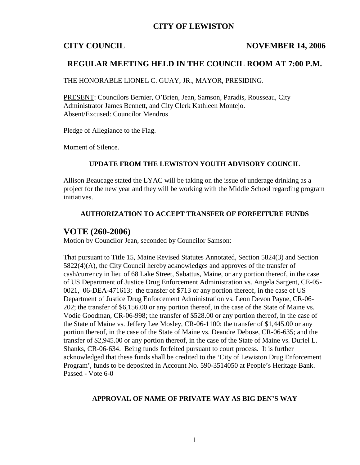## **CITY OF LEWISTON**

### **CITY COUNCIL NOVEMBER 14, 2006**

## **REGULAR MEETING HELD IN THE COUNCIL ROOM AT 7:00 P.M.**

THE HONORABLE LIONEL C. GUAY, JR., MAYOR, PRESIDING.

PRESENT: Councilors Bernier, O'Brien, Jean, Samson, Paradis, Rousseau, City Administrator James Bennett, and City Clerk Kathleen Montejo. Absent/Excused: Councilor Mendros

Pledge of Allegiance to the Flag.

Moment of Silence.

#### **UPDATE FROM THE LEWISTON YOUTH ADVISORY COUNCIL**

Allison Beaucage stated the LYAC will be taking on the issue of underage drinking as a project for the new year and they will be working with the Middle School regarding program initiatives.

### **AUTHORIZATION TO ACCEPT TRANSFER OF FORFEITURE FUNDS**

## **VOTE (260-2006)**

Motion by Councilor Jean, seconded by Councilor Samson:

That pursuant to Title 15, Maine Revised Statutes Annotated, Section 5824(3) and Section 5822(4)(A), the City Council hereby acknowledges and approves of the transfer of cash/currency in lieu of 68 Lake Street, Sabattus, Maine, or any portion thereof, in the case of US Department of Justice Drug Enforcement Administration vs. Angela Sargent, CE-05- 0021, 06-DEA-471613; the transfer of \$713 or any portion thereof, in the case of US Department of Justice Drug Enforcement Administration vs. Leon Devon Payne, CR-06- 202; the transfer of \$6,156.00 or any portion thereof, in the case of the State of Maine vs. Vodie Goodman, CR-06-998; the transfer of \$528.00 or any portion thereof, in the case of the State of Maine vs. Jeffery Lee Mosley, CR-06-1100; the transfer of \$1,445.00 or any portion thereof, in the case of the State of Maine vs. Deandre Debose, CR-06-635; and the transfer of \$2,945.00 or any portion thereof, in the case of the State of Maine vs. Duriel L. Shanks, CR-06-634. Being funds forfeited pursuant to court process. It is further acknowledged that these funds shall be credited to the 'City of Lewiston Drug Enforcement Program', funds to be deposited in Account No. 590-3514050 at People's Heritage Bank. Passed - Vote 6-0

### **APPROVAL OF NAME OF PRIVATE WAY AS BIG DEN'S WAY**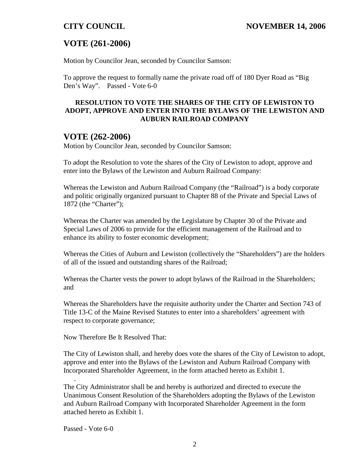# **VOTE (261-2006)**

Motion by Councilor Jean, seconded by Councilor Samson:

To approve the request to formally name the private road off of 180 Dyer Road as "Big Den's Way". Passed - Vote 6-0

#### **RESOLUTION TO VOTE THE SHARES OF THE CITY OF LEWISTON TO ADOPT, APPROVE AND ENTER INTO THE BYLAWS OF THE LEWISTON AND AUBURN RAILROAD COMPANY**

## **VOTE (262-2006)**

Motion by Councilor Jean, seconded by Councilor Samson:

To adopt the Resolution to vote the shares of the City of Lewiston to adopt, approve and enter into the Bylaws of the Lewiston and Auburn Railroad Company:

Whereas the Lewiston and Auburn Railroad Company (the "Railroad") is a body corporate and politic originally organized pursuant to Chapter 88 of the Private and Special Laws of 1872 (the "Charter");

Whereas the Charter was amended by the Legislature by Chapter 30 of the Private and Special Laws of 2006 to provide for the efficient management of the Railroad and to enhance its ability to foster economic development;

Whereas the Cities of Auburn and Lewiston (collectively the "Shareholders") are the holders of all of the issued and outstanding shares of the Railroad;

Whereas the Charter vests the power to adopt bylaws of the Railroad in the Shareholders; and

Whereas the Shareholders have the requisite authority under the Charter and Section 743 of Title 13-C of the Maine Revised Statutes to enter into a shareholders' agreement with respect to corporate governance;

Now Therefore Be It Resolved That:

The City of Lewiston shall, and hereby does vote the shares of the City of Lewiston to adopt, approve and enter into the Bylaws of the Lewiston and Auburn Railroad Company with Incorporated Shareholder Agreement, in the form attached hereto as Exhibit 1.

The City Administrator shall be and hereby is authorized and directed to execute the Unanimous Consent Resolution of the Shareholders adopting the Bylaws of the Lewiston and Auburn Railroad Company with Incorporated Shareholder Agreement in the form attached hereto as Exhibit 1.

Passed - Vote 6-0

.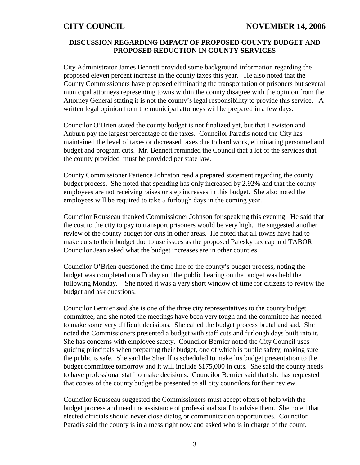#### **DISCUSSION REGARDING IMPACT OF PROPOSED COUNTY BUDGET AND PROPOSED REDUCTION IN COUNTY SERVICES**

City Administrator James Bennett provided some background information regarding the proposed eleven percent increase in the county taxes this year. He also noted that the County Commissioners have proposed eliminating the transportation of prisoners but several municipal attorneys representing towns within the county disagree with the opinion from the Attorney General stating it is not the county's legal responsibility to provide this service. A written legal opinion from the municipal attorneys will be prepared in a few days.

Councilor O'Brien stated the county budget is not finalized yet, but that Lewiston and Auburn pay the largest percentage of the taxes. Councilor Paradis noted the City has maintained the level of taxes or decreased taxes due to hard work, eliminating personnel and budget and program cuts. Mr. Bennett reminded the Council that a lot of the services that the county provided must be provided per state law.

County Commissioner Patience Johnston read a prepared statement regarding the county budget process. She noted that spending has only increased by 2.92% and that the county employees are not receiving raises or step increases in this budget. She also noted the employees will be required to take 5 furlough days in the coming year.

Councilor Rousseau thanked Commissioner Johnson for speaking this evening. He said that the cost to the city to pay to transport prisoners would be very high. He suggested another review of the county budget for cuts in other areas. He noted that all towns have had to make cuts to their budget due to use issues as the proposed Palesky tax cap and TABOR. Councilor Jean asked what the budget increases are in other counties.

Councilor O'Brien questioned the time line of the county's budget process, noting the budget was completed on a Friday and the public hearing on the budget was held the following Monday. She noted it was a very short window of time for citizens to review the budget and ask questions.

Councilor Bernier said she is one of the three city representatives to the county budget committee, and she noted the meetings have been very tough and the committee has needed to make some very difficult decisions. She called the budget process brutal and sad. She noted the Commissioners presented a budget with staff cuts and furlough days built into it. She has concerns with employee safety. Councilor Bernier noted the City Council uses guiding principals when preparing their budget, one of which is public safety, making sure the public is safe. She said the Sheriff is scheduled to make his budget presentation to the budget committee tomorrow and it will include \$175,000 in cuts. She said the county needs to have professional staff to make decisions. Councilor Bernier said that she has requested that copies of the county budget be presented to all city councilors for their review.

Councilor Rousseau suggested the Commissioners must accept offers of help with the budget process and need the assistance of professional staff to advise them. She noted that elected officials should never close dialog or communication opportunities. Councilor Paradis said the county is in a mess right now and asked who is in charge of the count.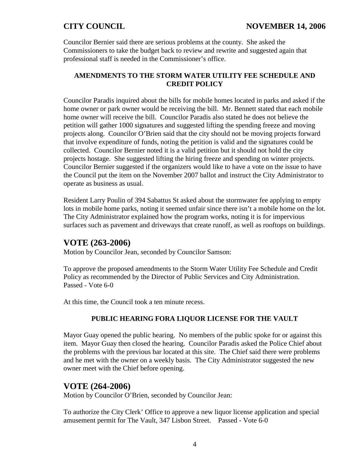Councilor Bernier said there are serious problems at the county. She asked the Commissioners to take the budget back to review and rewrite and suggested again that professional staff is needed in the Commissioner's office.

## **AMENDMENTS TO THE STORM WATER UTILITY FEE SCHEDULE AND CREDIT POLICY**

Councilor Paradis inquired about the bills for mobile homes located in parks and asked if the home owner or park owner would be receiving the bill. Mr. Bennett stated that each mobile home owner will receive the bill. Councilor Paradis also stated he does not believe the petition will gather 1000 signatures and suggested lifting the spending freeze and moving projects along. Councilor O'Brien said that the city should not be moving projects forward that involve expenditure of funds, noting the petition is valid and the signatures could be collected. Councilor Bernier noted it is a valid petition but it should not hold the city projects hostage. She suggested lifting the hiring freeze and spending on winter projects. Councilor Bernier suggested if the organizers would like to have a vote on the issue to have the Council put the item on the November 2007 ballot and instruct the City Administrator to operate as business as usual.

Resident Larry Poulin of 394 Sabattus St asked about the stormwater fee applying to empty lots in mobile home parks, noting it seemed unfair since there isn't a mobile home on the lot. The City Administrator explained how the program works, noting it is for impervious surfaces such as pavement and driveways that create runoff, as well as rooftops on buildings.

## **VOTE (263-2006)**

Motion by Councilor Jean, seconded by Councilor Samson:

To approve the proposed amendments to the Storm Water Utility Fee Schedule and Credit Policy as recommended by the Director of Public Services and City Administration. Passed - Vote 6-0

At this time, the Council took a ten minute recess.

### **PUBLIC HEARING FORA LIQUOR LICENSE FOR THE VAULT**

Mayor Guay opened the public hearing. No members of the public spoke for or against this item. Mayor Guay then closed the hearing. Councilor Paradis asked the Police Chief about the problems with the previous bar located at this site. The Chief said there were problems and he met with the owner on a weekly basis. The City Administrator suggested the new owner meet with the Chief before opening.

## **VOTE (264-2006)**

Motion by Councilor O'Brien, seconded by Councilor Jean:

To authorize the City Clerk' Office to approve a new liquor license application and special amusement permit for The Vault, 347 Lisbon Street. Passed - Vote 6-0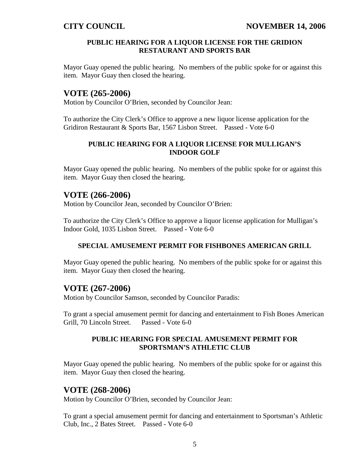#### **PUBLIC HEARING FOR A LIQUOR LICENSE FOR THE GRIDION RESTAURANT AND SPORTS BAR**

Mayor Guay opened the public hearing. No members of the public spoke for or against this item. Mayor Guay then closed the hearing.

## **VOTE (265-2006)**

Motion by Councilor O'Brien, seconded by Councilor Jean:

To authorize the City Clerk's Office to approve a new liquor license application for the Gridiron Restaurant & Sports Bar, 1567 Lisbon Street. Passed - Vote 6-0

### **PUBLIC HEARING FOR A LIQUOR LICENSE FOR MULLIGAN'S INDOOR GOLF**

Mayor Guay opened the public hearing. No members of the public spoke for or against this item. Mayor Guay then closed the hearing.

## **VOTE (266-2006)**

Motion by Councilor Jean, seconded by Councilor O'Brien:

To authorize the City Clerk's Office to approve a liquor license application for Mulligan's Indoor Gold, 1035 Lisbon Street. Passed - Vote 6-0

### **SPECIAL AMUSEMENT PERMIT FOR FISHBONES AMERICAN GRILL**

Mayor Guay opened the public hearing. No members of the public spoke for or against this item. Mayor Guay then closed the hearing.

## **VOTE (267-2006)**

Motion by Councilor Samson, seconded by Councilor Paradis:

To grant a special amusement permit for dancing and entertainment to Fish Bones American Grill, 70 Lincoln Street. Passed - Vote 6-0

#### **PUBLIC HEARING FOR SPECIAL AMUSEMENT PERMIT FOR SPORTSMAN'S ATHLETIC CLUB**

Mayor Guay opened the public hearing. No members of the public spoke for or against this item. Mayor Guay then closed the hearing.

## **VOTE (268-2006)**

Motion by Councilor O'Brien, seconded by Councilor Jean:

To grant a special amusement permit for dancing and entertainment to Sportsman's Athletic Club, Inc., 2 Bates Street. Passed - Vote 6-0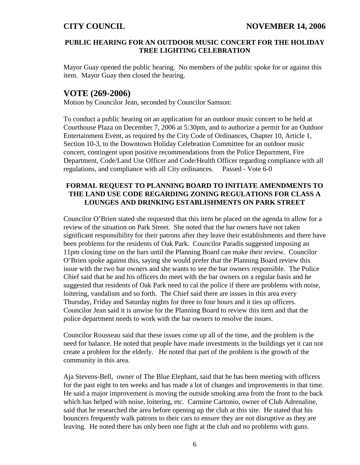#### **PUBLIC HEARING FOR AN OUTDOOR MUSIC CONCERT FOR THE HOLIDAY TREE LIGHTING CELEBRATION**

Mayor Guay opened the public hearing. No members of the public spoke for or against this item. Mayor Guay then closed the hearing.

## **VOTE (269-2006)**

Motion by Councilor Jean, seconded by Councilor Samson:

To conduct a public hearing on an application for an outdoor music concert to be held at Courthouse Plaza on December 7, 2006 at 5:30pm, and to authorize a permit for an Outdoor Entertainment Event, as required by the City Code of Ordinances, Chapter 10, Article 1, Section 10-3, to the Downtown Holiday Celebration Committee for an outdoor music concert, contingent upon positive recommendations from the Police Department, Fire Department, Code/Land Use Officer and Code/Health Officer regarding compliance with all regulations, and compliance with all City ordinances. Passed - Vote 6-0

### **FORMAL REQUEST TO PLANNING BOARD TO INITIATE AMENDMENTS TO THE LAND USE CODE REGARDING ZONING REGULATIONS FOR CLASS A LOUNGES AND DRINKING ESTABLISHMENTS ON PARK STREET**

Councilor O'Brien stated she requested that this item be placed on the agenda to allow for a review of the situation on Park Street. She noted that the bar owners have not taken significant responsibility for their patrons after they leave their establishments and there have been problems for the residents of Oak Park. Councilor Paradis suggested imposing an 11pm closing time on the bars until the Planning Board can make their review. Councilor O'Brien spoke against this, saying she would prefer that the Planning Board review this issue with the two bar owners and she wants to see the bar owners responsible. The Police Chief said that he and his officers do meet with the bar owners on a regular basis and he suggested that residents of Oak Park need to cal the police if there are problems with noise, loitering, vandalism and so forth. The Chief said there are issues in this area every Thursday, Friday and Saturday nights for three to four hours and it ties up officers. Councilor Jean said it is unwise for the Planning Board to review this item and that the police department needs to work with the bar owners to resolve the issues.

Councilor Rousseau said that these issues come up all of the time, and the problem is the need for balance. He noted that people have made investments in the buildings yet it can not create a problem for the elderly. He noted that part of the problem is the growth of the community in this area.

Aja Stevens-Bell, owner of The Blue Elephant, said that he has been meeting with officers for the past eight to ten weeks and has made a lot of changes and improvements in that time. He said a major improvement is moving the outside smoking area from the front to the back which has helped with noise, loitering, etc. Carmine Cartonio, owner of Club Adrenaline, said that he researched the area before opening up the club at this site. He stated that his bouncers frequently walk patrons to their cars to ensure they are not disruptive as they are leaving. He noted there has only been one fight at the club and no problems with guns.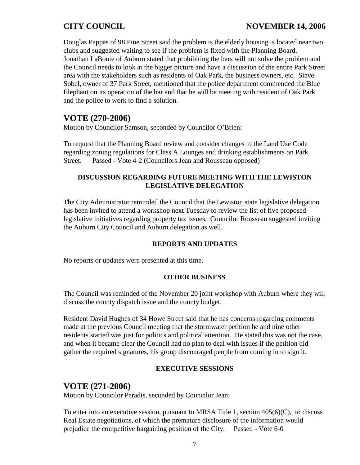## **CITY COUNCIL NOVEMBER 14, 2006**

Douglas Pappas of 98 Pine Street said the problem is the elderly housing is located near two clubs and suggested waiting to see if the problem is fixed with the Planning Board. Jonathan LaBonte of Auburn stated that prohibiting the bars will not solve the problem and the Council needs to look at the bigger picture and have a discussion of the entire Park Street area with the stakeholders such as residents of Oak Park, the business owners, etc. Steve Sobel, owner of 37 Park Street, mentioned that the police department commended the Blue Elephant on its operation of the bar and that he will be meeting with resident of Oak Park and the police to work to find a solution.

## **VOTE (270-2006)**

Motion by Councilor Samson, seconded by Councilor O'Brien:

To request that the Planning Board review and consider changes to the Land Use Code regarding zoning regulations for Class A Lounges and drinking establishments on Park Street. Passed - Vote 4-2 (Councilors Jean and Rousseau opposed)

### **DISCUSSION REGARDING FUTURE MEETING WITH THE LEWISTON LEGISLATIVE DELEGATION**

The City Administrator reminded the Council that the Lewiston state legislative delegation has been invited to attend a workshop next Tuesday to review the list of five proposed legislative initiatives regarding property tax issues. Councilor Rousseau suggested inviting the Auburn City Council and Auburn delegation as well.

### **REPORTS AND UPDATES**

No reports or updates were presented at this time.

#### **OTHER BUSINESS**

The Council was reminded of the November 20 joint workshop with Auburn where they will discuss the county dispatch issue and the county budget.

Resident David Hughes of 34 Howe Street said that he has concerns regarding comments made at the previous Council meeting that the stormwater petition he and nine other residents started was just for politics and political attention. He stated this was not the case, and when it became clear the Council had no plan to deal with issues if the petition did gather the required signatures, his group discouraged people from coming in to sign it.

### **EXECUTIVE SESSIONS**

## **VOTE (271-2006)**

Motion by Councilor Paradis, seconded by Councilor Jean:

To enter into an executive session, pursuant to MRSA Title 1, section  $405(6)(C)$ , to discuss Real Estate negotiations, of which the premature disclosure of the information would prejudice the competitive bargaining position of the City. Passed - Vote 6-0